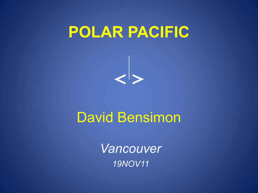# **POLAR PACIFIC**



### David Bensimon

*Vancouver 19NOV11*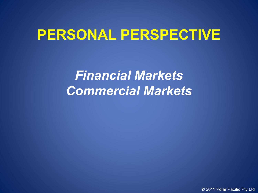## **PERSONAL PERSPECTIVE**

*Financial Markets Commercial Markets*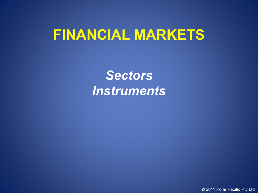### **FINANCIAL MARKETS**

*Sectors Instruments*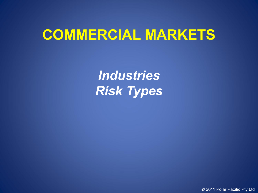## **COMMERCIAL MARKETS**

*Industries Risk Types*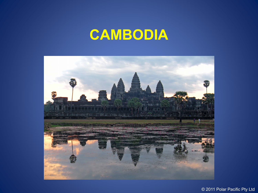# **CAMBODIA**

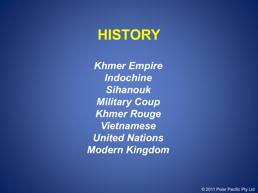## **HISTORY**

*Khmer Empire Indochine Sihanouk Military Coup Khmer Rouge Vietnamese United Nations Modern Kingdom*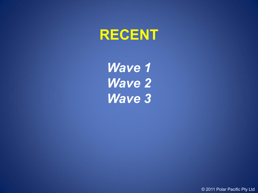

*Wave 1 Wave 2 Wave 3*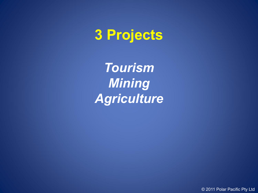# **3 Projects**

*Tourism Mining Agriculture*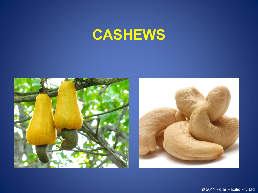# **CASHEWS**



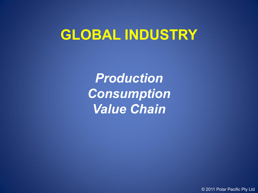## **GLOBAL INDUSTRY**

*Production Consumption Value Chain*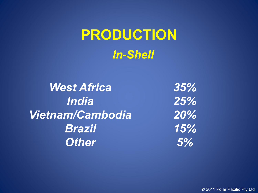# **PRODUCTION** *In-Shell*

*West Africa India Vietnam/Cambodia Brazil Other*

*35% 25% 20% 15% 5%*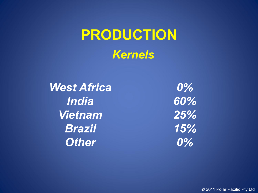# **PRODUCTION** *Kernels*

*West Africa India Vietnam Brazil Other*

*0% 60% 25% 15% 0%*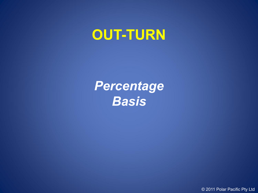## **OUT-TURN**

*Percentage Basis*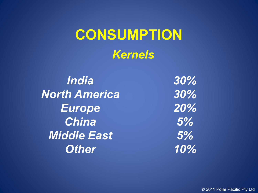## **CONSUMPTION** *Kernels*

*India North America Europe China Middle East Other*

*30% 30% 20% 5% 5% 10%*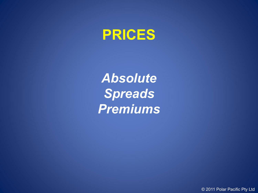

*Absolute Spreads Premiums*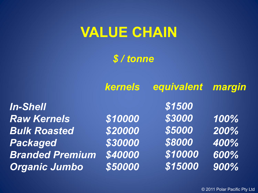## **VALUE CHAIN**

*\$ / tonne*

|                        | kernels | equivalent margin |      |
|------------------------|---------|-------------------|------|
| <b>In-Shell</b>        |         | \$1500            |      |
| <b>Raw Kernels</b>     | \$10000 | \$3000            | 100% |
| <b>Bulk Roasted</b>    | \$20000 | \$5000            | 200% |
| <b>Packaged</b>        | \$30000 | \$8000            | 400% |
| <b>Branded Premium</b> | \$40000 | \$10000           | 600% |
| <b>Organic Jumbo</b>   | \$50000 | \$15000           | 900% |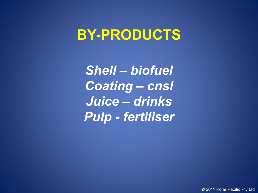### **BY-PRODUCTS**

*Shell – biofuel Coating – cnsl Juice – drinks Pulp - fertiliser*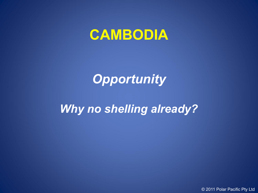### **CAMBODIA**

### *Opportunity*

#### *Why no shelling already?*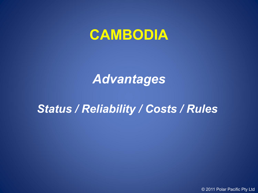### **CAMBODIA**

#### *Advantages*

#### *Status / Reliability / Costs / Rules*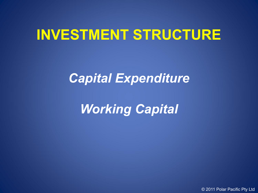## **INVESTMENT STRUCTURE**

### *Capital Expenditure*

## *Working Capital*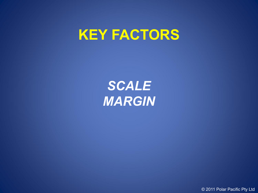### **KEY FACTORS**

*SCALE MARGIN*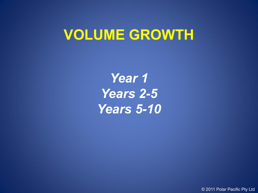## **VOLUME GROWTH**

*Year 1 Years 2-5 Years 5-10*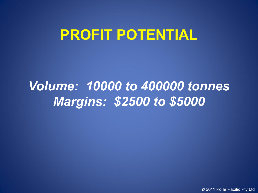## **PROFIT POTENTIAL**

### *Volume: 10000 to 400000 tonnes Margins: \$2500 to \$5000*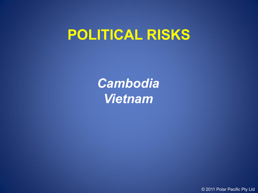## **POLITICAL RISKS**

*Cambodia Vietnam*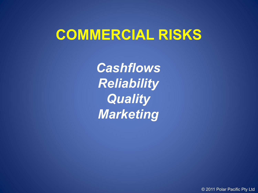## **COMMERCIAL RISKS**

*Cashflows Reliability Quality Marketing*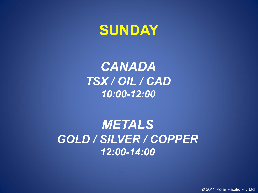### **SUNDAY**

*CANADA TSX / OIL / CAD 10:00-12:00*

*METALS GOLD / SILVER / COPPER 12:00-14:00*